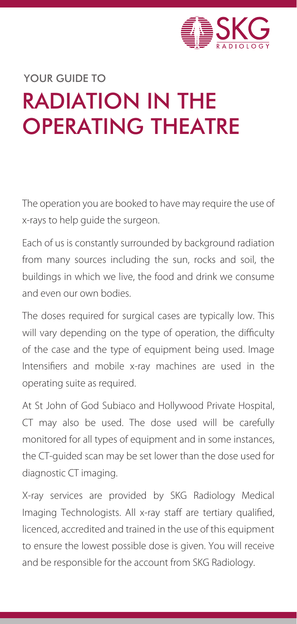

# RADIATION IN THE OPERATING THEATRE YOUR GUIDE TO

The operation you are booked to have may require the use of x-rays to help guide the surgeon.

Each of us is constantly surrounded by background radiation from many sources including the sun, rocks and soil, the buildings in which we live, the food and drink we consume and even our own bodies.

The doses required for surgical cases are typically low. This will vary depending on the type of operation, the difficulty of the case and the type of equipment being used. Image Intensifiers and mobile x-ray machines are used in the operating suite as required.

At St John of God Subiaco and Hollywood Private Hospital, CT may also be used. The dose used will be carefully monitored for all types of equipment and in some instances, the CT-guided scan may be set lower than the dose used for diagnostic CT imaging.

X-ray services are provided by SKG Radiology Medical Imaging Technologists. All x-ray staff are tertiary qualified, licenced, accredited and trained in the use of this equipment to ensure the lowest possible dose is given. You will receive and be responsible for the account from SKG Radiology.